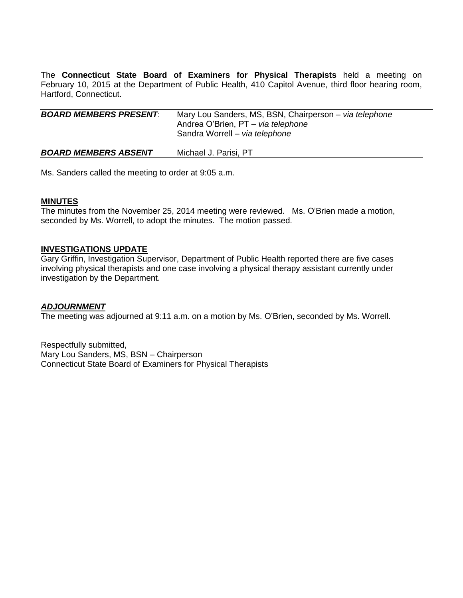The **Connecticut State Board of Examiners for Physical Therapists** held a meeting on February 10, 2015 at the Department of Public Health, 410 Capitol Avenue, third floor hearing room, Hartford, Connecticut.

| <b>BOARD MEMBERS PRESENT:</b> | Mary Lou Sanders, MS, BSN, Chairperson – via telephone<br>Andrea O'Brien, PT - via telephone<br>Sandra Worrell - via telephone |
|-------------------------------|--------------------------------------------------------------------------------------------------------------------------------|
| <b>BOARD MEMBERS ABSENT</b>   | Michael J. Parisi, PT                                                                                                          |

Ms. Sanders called the meeting to order at 9:05 a.m.

## **MINUTES**

The minutes from the November 25, 2014 meeting were reviewed. Ms. O'Brien made a motion, seconded by Ms. Worrell, to adopt the minutes. The motion passed.

## **INVESTIGATIONS UPDATE**

Gary Griffin, Investigation Supervisor, Department of Public Health reported there are five cases involving physical therapists and one case involving a physical therapy assistant currently under investigation by the Department.

#### *ADJOURNMENT*

The meeting was adjourned at 9:11 a.m. on a motion by Ms. O'Brien, seconded by Ms. Worrell.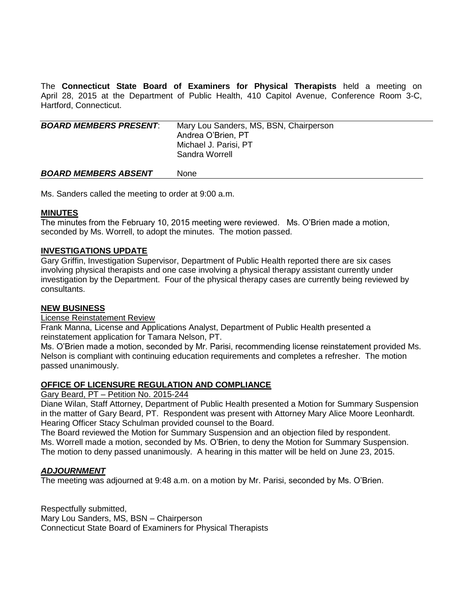The **Connecticut State Board of Examiners for Physical Therapists** held a meeting on April 28, 2015 at the Department of Public Health, 410 Capitol Avenue, Conference Room 3-C, Hartford, Connecticut.

| <b>BOARD MEMBERS PRESENT:</b> | Mary Lou Sanders, MS, BSN, Chairperson<br>Andrea O'Brien, PT<br>Michael J. Parisi, PT<br>Sandra Worrell |
|-------------------------------|---------------------------------------------------------------------------------------------------------|
| <b>BOARD MEMBERS ABSENT</b>   | None                                                                                                    |

Ms. Sanders called the meeting to order at 9:00 a.m.

## **MINUTES**

The minutes from the February 10, 2015 meeting were reviewed. Ms. O'Brien made a motion, seconded by Ms. Worrell, to adopt the minutes. The motion passed.

## **INVESTIGATIONS UPDATE**

Gary Griffin, Investigation Supervisor, Department of Public Health reported there are six cases involving physical therapists and one case involving a physical therapy assistant currently under investigation by the Department. Four of the physical therapy cases are currently being reviewed by consultants.

## **NEW BUSINESS**

License Reinstatement Review

Frank Manna, License and Applications Analyst, Department of Public Health presented a reinstatement application for Tamara Nelson, PT.

Ms. O'Brien made a motion, seconded by Mr. Parisi, recommending license reinstatement provided Ms. Nelson is compliant with continuing education requirements and completes a refresher. The motion passed unanimously.

## **OFFICE OF LICENSURE REGULATION AND COMPLIANCE**

Gary Beard, PT – Petition No. 2015-244

Diane Wilan, Staff Attorney, Department of Public Health presented a Motion for Summary Suspension in the matter of Gary Beard, PT. Respondent was present with Attorney Mary Alice Moore Leonhardt. Hearing Officer Stacy Schulman provided counsel to the Board.

The Board reviewed the Motion for Summary Suspension and an objection filed by respondent. Ms. Worrell made a motion, seconded by Ms. O'Brien, to deny the Motion for Summary Suspension. The motion to deny passed unanimously. A hearing in this matter will be held on June 23, 2015.

# *ADJOURNMENT*

The meeting was adjourned at 9:48 a.m. on a motion by Mr. Parisi, seconded by Ms. O'Brien.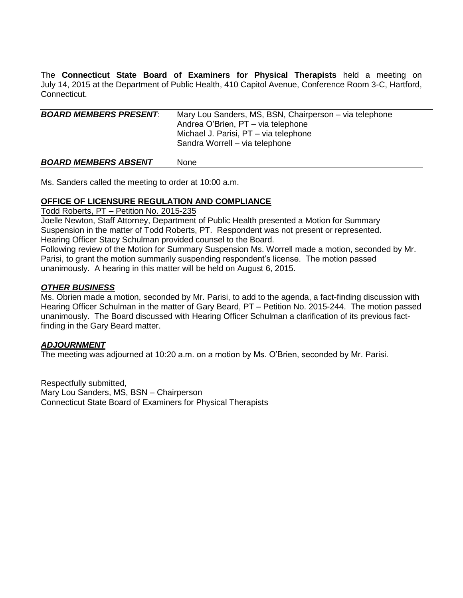The **Connecticut State Board of Examiners for Physical Therapists** held a meeting on July 14, 2015 at the Department of Public Health, 410 Capitol Avenue, Conference Room 3-C, Hartford, Connecticut.

| <b>BOARD MEMBERS PRESENT:</b> | Mary Lou Sanders, MS, BSN, Chairperson – via telephone<br>Andrea O'Brien, PT - via telephone<br>Michael J. Parisi, PT - via telephone<br>Sandra Worrell - via telephone |
|-------------------------------|-------------------------------------------------------------------------------------------------------------------------------------------------------------------------|
| <b>BOARD MEMBERS ABSENT</b>   | None                                                                                                                                                                    |

Ms. Sanders called the meeting to order at 10:00 a.m.

# **OFFICE OF LICENSURE REGULATION AND COMPLIANCE**

Todd Roberts, PT – Petition No. 2015-235

Joelle Newton, Staff Attorney, Department of Public Health presented a Motion for Summary Suspension in the matter of Todd Roberts, PT. Respondent was not present or represented. Hearing Officer Stacy Schulman provided counsel to the Board.

Following review of the Motion for Summary Suspension Ms. Worrell made a motion, seconded by Mr. Parisi, to grant the motion summarily suspending respondent's license. The motion passed unanimously. A hearing in this matter will be held on August 6, 2015.

## *OTHER BUSINESS*

Ms. Obrien made a motion, seconded by Mr. Parisi, to add to the agenda, a fact-finding discussion with Hearing Officer Schulman in the matter of Gary Beard, PT – Petition No. 2015-244. The motion passed unanimously. The Board discussed with Hearing Officer Schulman a clarification of its previous factfinding in the Gary Beard matter.

# *ADJOURNMENT*

The meeting was adjourned at 10:20 a.m. on a motion by Ms. O'Brien, seconded by Mr. Parisi.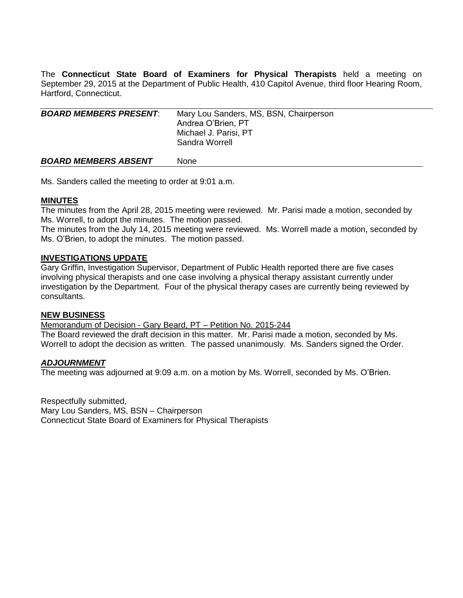The **Connecticut State Board of Examiners for Physical Therapists** held a meeting on September 29, 2015 at the Department of Public Health, 410 Capitol Avenue, third floor Hearing Room, Hartford, Connecticut.

| <b>BOARD MEMBERS PRESENT:</b> | Mary Lou Sanders, MS, BSN, Chairperson<br>Andrea O'Brien, PT<br>Michael J. Parisi, PT<br>Sandra Worrell |
|-------------------------------|---------------------------------------------------------------------------------------------------------|
| <b>BOARD MEMBERS ABSENT</b>   | None                                                                                                    |

Ms. Sanders called the meeting to order at 9:01 a.m.

## **MINUTES**

The minutes from the April 28, 2015 meeting were reviewed. Mr. Parisi made a motion, seconded by Ms. Worrell, to adopt the minutes. The motion passed.

The minutes from the July 14, 2015 meeting were reviewed. Ms. Worrell made a motion, seconded by Ms. O'Brien, to adopt the minutes. The motion passed.

### **INVESTIGATIONS UPDATE**

Gary Griffin, Investigation Supervisor, Department of Public Health reported there are five cases involving physical therapists and one case involving a physical therapy assistant currently under investigation by the Department. Four of the physical therapy cases are currently being reviewed by consultants.

### **NEW BUSINESS**

Memorandum of Decision - Gary Beard, PT – Petition No. 2015-244

The Board reviewed the draft decision in this matter. Mr. Parisi made a motion, seconded by Ms. Worrell to adopt the decision as written. The passed unanimously. Ms. Sanders signed the Order.

#### *ADJOURNMENT*

The meeting was adjourned at 9:09 a.m. on a motion by Ms. Worrell, seconded by Ms. O'Brien.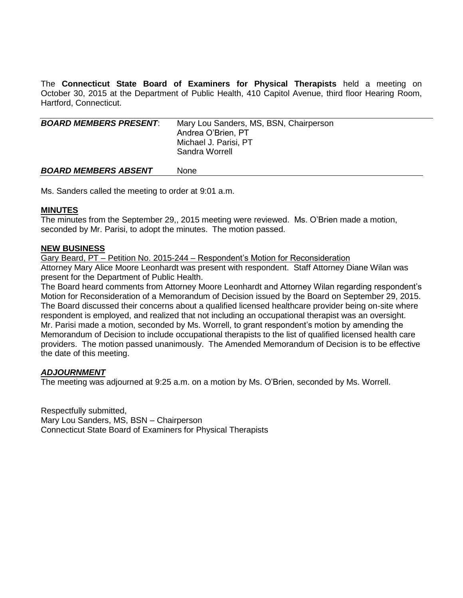The **Connecticut State Board of Examiners for Physical Therapists** held a meeting on October 30, 2015 at the Department of Public Health, 410 Capitol Avenue, third floor Hearing Room, Hartford, Connecticut.

| <b>BOARD MEMBERS PRESENT:</b> | Mary Lou Sanders, MS, BSN, Chairperson<br>Andrea O'Brien, PT<br>Michael J. Parisi, PT<br>Sandra Worrell |
|-------------------------------|---------------------------------------------------------------------------------------------------------|
| <b>BOARD MEMBERS ABSENT</b>   | <b>None</b>                                                                                             |

Ms. Sanders called the meeting to order at 9:01 a.m.

## **MINUTES**

The minutes from the September 29,, 2015 meeting were reviewed. Ms. O'Brien made a motion, seconded by Mr. Parisi, to adopt the minutes. The motion passed.

## **NEW BUSINESS**

Gary Beard, PT – Petition No. 2015-244 – Respondent's Motion for Reconsideration Attorney Mary Alice Moore Leonhardt was present with respondent. Staff Attorney Diane Wilan was present for the Department of Public Health.

The Board heard comments from Attorney Moore Leonhardt and Attorney Wilan regarding respondent's Motion for Reconsideration of a Memorandum of Decision issued by the Board on September 29, 2015. The Board discussed their concerns about a qualified licensed healthcare provider being on-site where respondent is employed, and realized that not including an occupational therapist was an oversight. Mr. Parisi made a motion, seconded by Ms. Worrell, to grant respondent's motion by amending the Memorandum of Decision to include occupational therapists to the list of qualified licensed health care providers. The motion passed unanimously. The Amended Memorandum of Decision is to be effective the date of this meeting.

# *ADJOURNMENT*

The meeting was adjourned at 9:25 a.m. on a motion by Ms. O'Brien, seconded by Ms. Worrell.